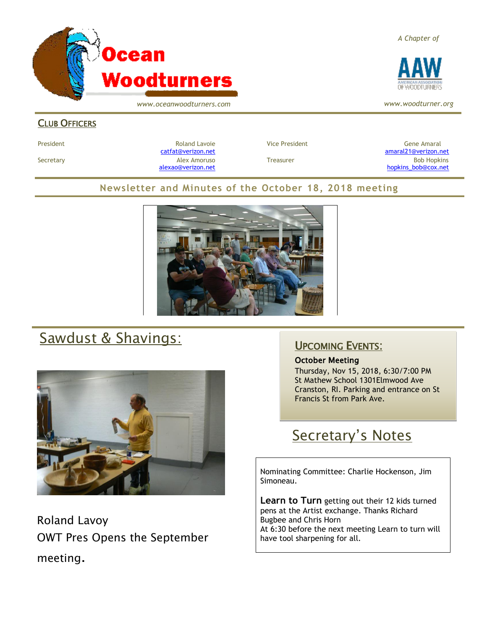

*A Chapter of*



*www.woodturner.org*

#### CLUB OFFICERS

President and Roland Lavoie Manuel President Character Gene Amaral Character Character Character Character Character

[catfat@verizon.net](file:///C:/Users/OTEC/Desktop/OW/catfat@verizon.net) [amaral21@verizon.net](mailto:amaral21@verizon.net) Secretary Alex Amoruso Treasurer Bob Hopkins [alexao@verizon.net](mailto:alexao@verizon.net) [hopkins\\_bob@cox.net](mailto:hopkins_bob@cox.net)

### **Newsletter and Minutes of the October 18, 2018 meeting**



# Sawdust & Shavings:



Roland Lavoy OWT Pres Opens the September meeting.

## UPCOMING EVENTS:

#### October Meeting

Thursday, Nov 15, 2018, 6:30/7:00 PM St Mathew School 1301Elmwood Ave Cranston, RI. Parking and entrance on St Francis St from Park Ave.

# Secretary's Notes

Nominating Committee: Charlie Hockenson, Jim Simoneau.

**Learn to Turn** getting out their 12 kids turned pens at the Artist exchange. Thanks Richard Bugbee and Chris Horn At 6:30 before the next meeting Learn to turn will have tool sharpening for all.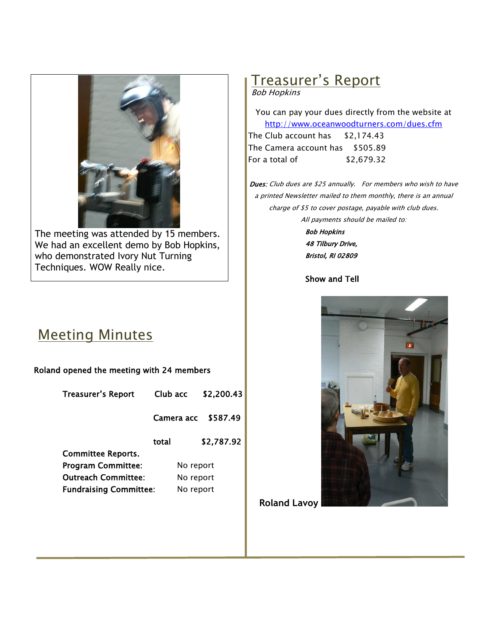

The meeting was attended by 15 members. We had an excellent demo by Bob Hopkins, who demonstrated Ivory Nut Turning Techniques. WOW Really nice.

## Meeting Minutes

#### Roland opened the meeting with 24 members

| <b>Treasurer's Report</b>     | Club acc   | \$2,200.43 |  |
|-------------------------------|------------|------------|--|
|                               | Camera acc | \$587.49   |  |
|                               | total      | \$2,787.92 |  |
| <b>Committee Reports.</b>     |            |            |  |
| <b>Program Committee:</b>     |            | No report  |  |
| <b>Outreach Committee:</b>    |            | No report  |  |
| <b>Fundraising Committee:</b> | No report  |            |  |

# Treasurer's Report

#### Bob Hopkins

You can pay your dues directly from the website at <http://www.oceanwoodturners.com/dues.cfm> The Club account has \$2,174.43

The Camera account has \$505.89 For a total of \$2,679.32

Dues: Club dues are \$25 annually. For members who wish to have a printed Newsletter mailed to them monthly, there is an annual charge of \$5 to cover postage, payable with club dues. All payments should be mailed to:

> Bob Hopkins 48 Tilbury Drive, Bristol, RI 02809

#### Show and Tell



**Roland Lavoy**